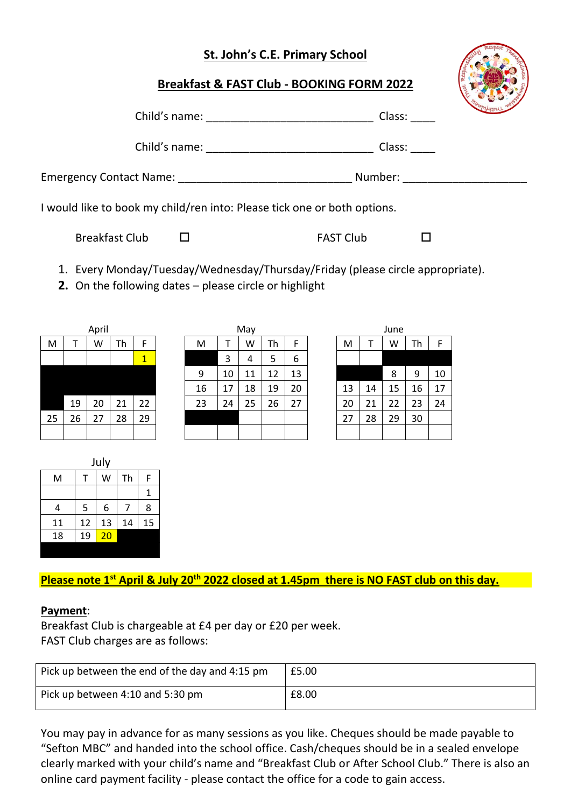## **St. John's C.E. Primary School**

## **Breakfast & FAST Club - BOOKING FORM 2022**



| Child's name: ____________________                                       | Class:  |
|--------------------------------------------------------------------------|---------|
| Child's name: ___________________                                        | Class:  |
| Emergency Contact Name: ___________________                              | Number: |
| I would like to book my child/ren into: Please tick one or both options. |         |

Breakfast Club □ FAST Club □

- 1. Every Monday/Tuesday/Wednesday/Thursday/Friday (please circle appropriate).
- **2.** On the following dates please circle or highlight

| April |    |    |    |    |  |
|-------|----|----|----|----|--|
| M     | т  | W  | Th | F  |  |
|       |    |    |    | 1  |  |
|       |    |    |    |    |  |
|       |    |    |    |    |  |
|       | 19 | 20 | 21 | 22 |  |
| 25    | 26 | 27 | 28 | 29 |  |
|       |    |    |    |    |  |

|    |    | April |    |                         |    |    | May |    |    |    |    | June |    |    |
|----|----|-------|----|-------------------------|----|----|-----|----|----|----|----|------|----|----|
| M  |    | W     | Th | F                       | M  |    | W   | Th | F  | M  |    | W    | Th | F  |
|    |    |       |    | $\overline{\mathbf{1}}$ |    | 3  | 4   | 5  | 6  |    |    |      |    |    |
|    |    |       |    |                         | 9  | 10 | 11  | 12 | 13 |    |    | 8    | 9  | 10 |
|    |    |       |    |                         | 16 | 17 | 18  | 19 | 20 | 13 | 14 | 15   | 16 | 17 |
|    | 19 | 20    | 21 | 22                      | 23 | 24 | 25  | 26 | 27 | 20 | 21 | 22   | 23 | 24 |
| 25 | 26 | 27    | 28 | 29                      |    |    |     |    |    | 27 | 28 | 29   | 30 |    |
|    |    |       |    |                         |    |    |     |    |    |    |    |      |    |    |

| June |    |    |    |    |  |  |
|------|----|----|----|----|--|--|
| M    | Т  | W  | Th | F  |  |  |
|      |    |    |    |    |  |  |
|      |    | 8  | 9  | 10 |  |  |
| 13   | 14 | 15 | 16 | 17 |  |  |
| 20   | 21 | 22 | 23 | 24 |  |  |
| 27   | 28 | 29 | 30 |    |  |  |
|      |    |    |    |    |  |  |

| July |    |    |    |    |  |  |
|------|----|----|----|----|--|--|
| M    |    | W  | Th | F  |  |  |
|      |    |    |    |    |  |  |
| 4    | 5  | 6  |    | 8  |  |  |
| 11   | 12 | 13 | 14 | 15 |  |  |
| 18   | 19 | 20 |    |    |  |  |
|      |    |    |    |    |  |  |

**Please note 1st April & July 20th 2022 closed at 1.45pm there is NO FAST club on this day.**

## **Payment**:

Breakfast Club is chargeable at £4 per day or £20 per week. FAST Club charges are as follows:

| Pick up between the end of the day and 4:15 pm | £5.00 |
|------------------------------------------------|-------|
| Pick up between 4:10 and 5:30 pm               | £8.00 |

You may pay in advance for as many sessions as you like. Cheques should be made payable to "Sefton MBC" and handed into the school office. Cash/cheques should be in a sealed envelope clearly marked with your child's name and "Breakfast Club or After School Club." There is also an online card payment facility - please contact the office for a code to gain access.